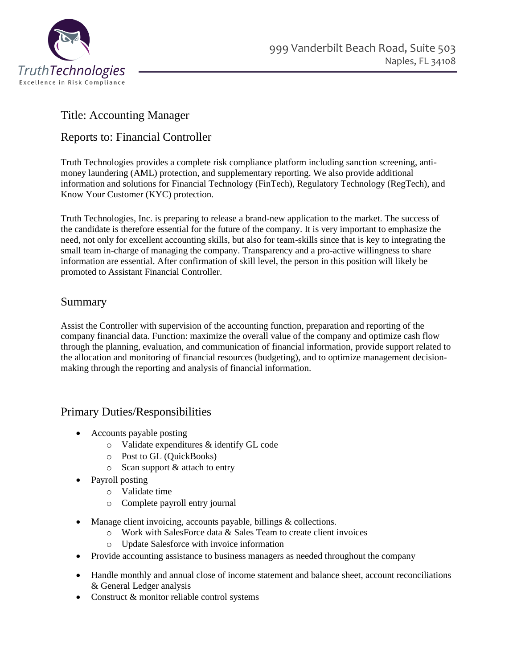

# Title: Accounting Manager

## Reports to: Financial Controller

Truth Technologies provides a complete risk compliance platform including sanction screening, antimoney laundering (AML) protection, and supplementary reporting. We also provide additional information and solutions for Financial Technology (FinTech), Regulatory Technology (RegTech), and Know Your Customer (KYC) protection.

Truth Technologies, Inc. is preparing to release a brand-new application to the market. The success of the candidate is therefore essential for the future of the company. It is very important to emphasize the need, not only for excellent accounting skills, but also for team-skills since that is key to integrating the small team in-charge of managing the company. Transparency and a pro-active willingness to share information are essential. After confirmation of skill level, the person in this position will likely be promoted to Assistant Financial Controller.

### Summary

Assist the Controller with supervision of the accounting function, preparation and reporting of the company financial data. Function: maximize the overall value of the company and optimize cash flow through the planning, evaluation, and communication of financial information, provide support related to the allocation and monitoring of financial resources (budgeting), and to optimize management decisionmaking through the reporting and analysis of financial information.

# Primary Duties/Responsibilities

- Accounts payable posting
	- o Validate expenditures & identify GL code
	- o Post to GL (QuickBooks)
	- o Scan support & attach to entry
- Payroll posting
	- o Validate time
	- o Complete payroll entry journal
- Manage client invoicing, accounts payable, billings & collections.
	- o Work with SalesForce data & Sales Team to create client invoices
	- o Update Salesforce with invoice information
- Provide accounting assistance to business managers as needed throughout the company
- Handle monthly and annual close of income statement and balance sheet, account reconciliations & General Ledger analysis
- Construct & monitor reliable control systems